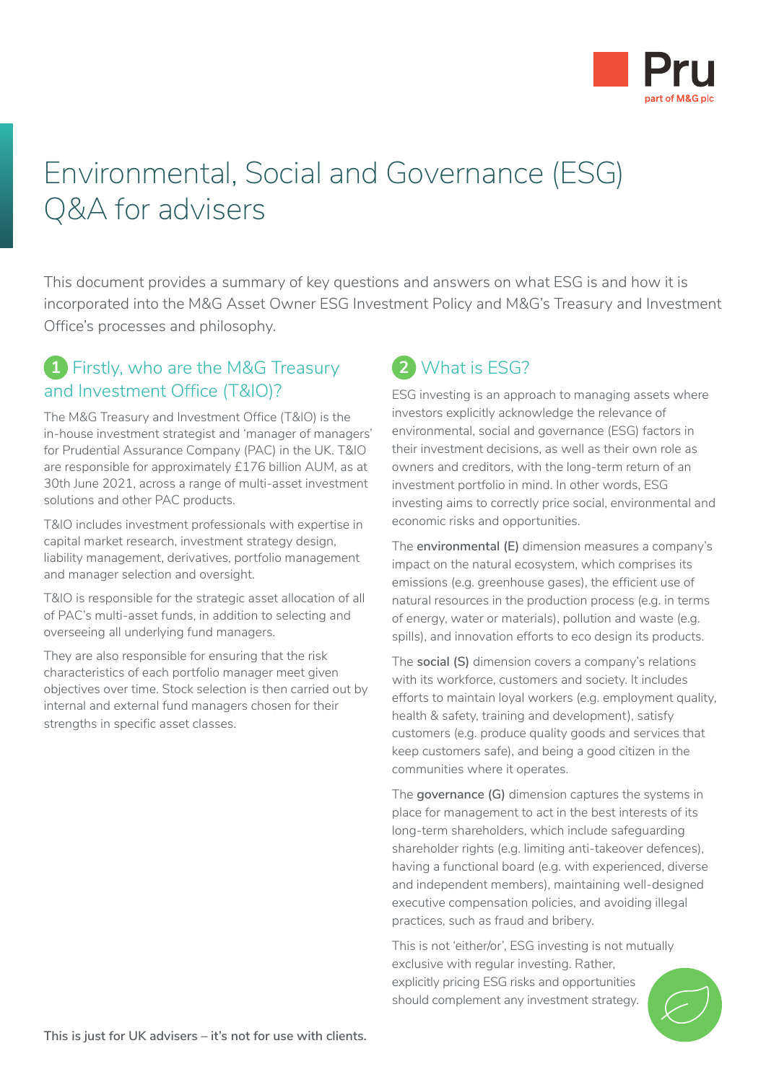

# Environmental, Social and Governance (ESG) Q&A for advisers

This document provides a summary of key questions and answers on what ESG is and how it is incorporated into the M&G Asset Owner ESG Investment Policy and M&G's Treasury and Investment Office's processes and philosophy.

#### **1** Firstly, who are the M&G Treasury and Investment Office (T&IO)?

The M&G Treasury and Investment Office (T&IO) is the in-house investment strategist and 'manager of managers' for Prudential Assurance Company (PAC) in the UK. T&IO are responsible for approximately £176 billion AUM, as at 30th June 2021, across a range of multi-asset investment solutions and other PAC products.

T&IO includes investment professionals with expertise in capital market research, investment strategy design, liability management, derivatives, portfolio management and manager selection and oversight.

T&IO is responsible for the strategic asset allocation of all of PAC's multi-asset funds, in addition to selecting and overseeing all underlying fund managers.

They are also responsible for ensuring that the risk characteristics of each portfolio manager meet given objectives over time. Stock selection is then carried out by internal and external fund managers chosen for their strengths in specific asset classes.

# **2** What is ESG?

ESG investing is an approach to managing assets where investors explicitly acknowledge the relevance of environmental, social and governance (ESG) factors in their investment decisions, as well as their own role as owners and creditors, with the long-term return of an investment portfolio in mind. In other words, ESG investing aims to correctly price social, environmental and economic risks and opportunities.

The **environmental (E)** dimension measures a company's impact on the natural ecosystem, which comprises its emissions (e.g. greenhouse gases), the efficient use of natural resources in the production process (e.g. in terms of energy, water or materials), pollution and waste (e.g. spills), and innovation efforts to eco design its products.

The **social (S)** dimension covers a company's relations with its workforce, customers and society. It includes efforts to maintain loyal workers (e.g. employment quality, health & safety, training and development), satisfy customers (e.g. produce quality goods and services that keep customers safe), and being a good citizen in the communities where it operates.

The **governance (G)** dimension captures the systems in place for management to act in the best interests of its long-term shareholders, which include safeguarding shareholder rights (e.g. limiting anti-takeover defences), having a functional board (e.g. with experienced, diverse and independent members), maintaining well-designed executive compensation policies, and avoiding illegal practices, such as fraud and bribery.

This is not 'either/or', ESG investing is not mutually exclusive with regular investing. Rather, explicitly pricing ESG risks and opportunities should complement any investment strategy.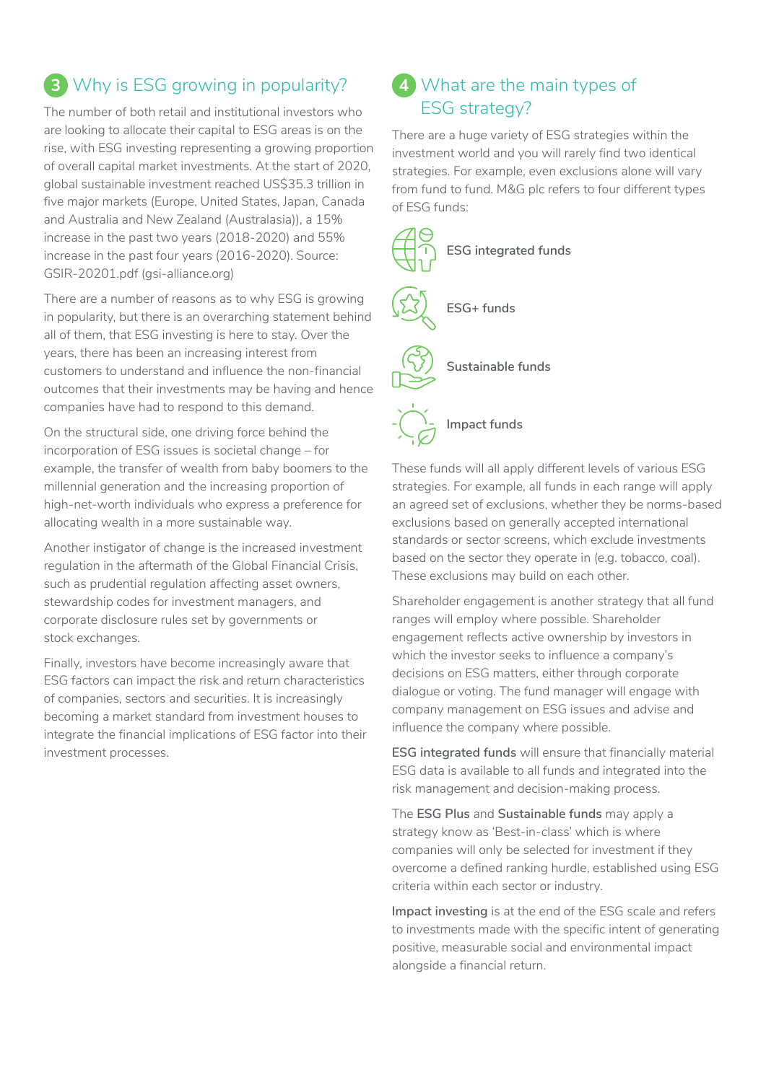# **3** Why is ESG growing in popularity?

The number of both retail and institutional investors who are looking to allocate their capital to ESG areas is on the rise, with ESG investing representing a growing proportion of overall capital market investments. At the start of 2020, global sustainable investment reached US\$35.3 trillion in five major markets (Europe, United States, Japan, Canada and Australia and New Zealand (Australasia)), a 15% increase in the past two years (2018-2020) and 55% increase in the past four years (2016-2020). Source: GSIR-20201.pdf (gsi-alliance.org)

There are a number of reasons as to why ESG is growing in popularity, but there is an overarching statement behind all of them, that ESG investing is here to stay. Over the years, there has been an increasing interest from customers to understand and influence the non-financial outcomes that their investments may be having and hence companies have had to respond to this demand.

On the structural side, one driving force behind the incorporation of ESG issues is societal change – for example, the transfer of wealth from baby boomers to the millennial generation and the increasing proportion of high-net-worth individuals who express a preference for allocating wealth in a more sustainable way.

Another instigator of change is the increased investment regulation in the aftermath of the Global Financial Crisis, such as prudential regulation affecting asset owners, stewardship codes for investment managers, and corporate disclosure rules set by governments or stock exchanges.

Finally, investors have become increasingly aware that ESG factors can impact the risk and return characteristics of companies, sectors and securities. It is increasingly becoming a market standard from investment houses to integrate the financial implications of ESG factor into their investment processes.

# **4** What are the main types of ESG strategy?

There are a huge variety of ESG strategies within the investment world and you will rarely find two identical strategies. For example, even exclusions alone will vary from fund to fund. M&G plc refers to four different types of ESG funds:



These funds will all apply different levels of various ESG strategies. For example, all funds in each range will apply an agreed set of exclusions, whether they be norms-based exclusions based on generally accepted international standards or sector screens, which exclude investments based on the sector they operate in (e.g. tobacco, coal). These exclusions may build on each other.

Shareholder engagement is another strategy that all fund ranges will employ where possible. Shareholder engagement reflects active ownership by investors in which the investor seeks to influence a company's decisions on ESG matters, either through corporate dialogue or voting. The fund manager will engage with company management on ESG issues and advise and influence the company where possible.

**ESG integrated funds** will ensure that financially material ESG data is available to all funds and integrated into the risk management and decision-making process.

The **ESG Plus** and **Sustainable funds** may apply a strategy know as 'Best-in-class' which is where companies will only be selected for investment if they overcome a defined ranking hurdle, established using ESG criteria within each sector or industry.

**Impact investing** is at the end of the ESG scale and refers to investments made with the specific intent of generating positive, measurable social and environmental impact alongside a financial return.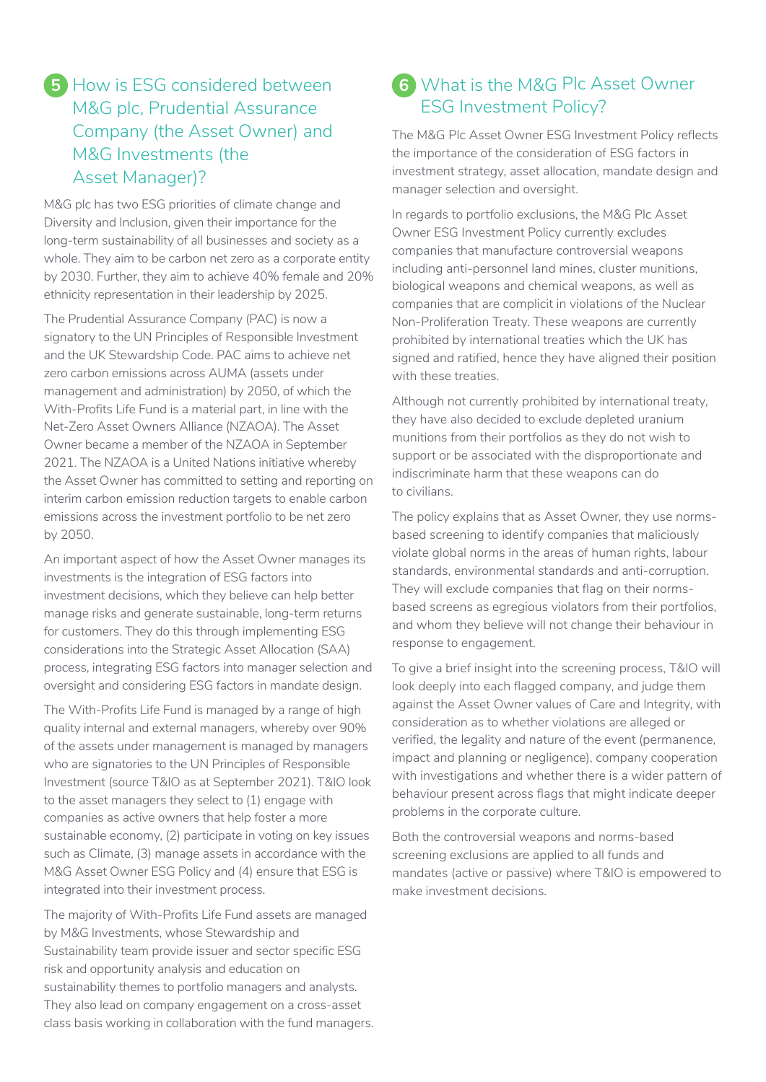## **5** How is ESG considered between M&G plc, Prudential Assurance Company (the Asset Owner) and M&G Investments (the Asset Manager)?

M&G plc has two ESG priorities of climate change and Diversity and Inclusion, given their importance for the long-term sustainability of all businesses and society as a whole. They aim to be carbon net zero as a corporate entity by 2030. Further, they aim to achieve 40% female and 20% ethnicity representation in their leadership by 2025.

The Prudential Assurance Company (PAC) is now a signatory to the UN Principles of Responsible Investment and the UK Stewardship Code. PAC aims to achieve net zero carbon emissions across AUMA (assets under management and administration) by 2050, of which the With-Profits Life Fund is a material part, in line with the Net-Zero Asset Owners Alliance (NZAOA). The Asset Owner became a member of the NZAOA in September 2021. The NZAOA is a United Nations initiative whereby the Asset Owner has committed to setting and reporting on interim carbon emission reduction targets to enable carbon emissions across the investment portfolio to be net zero by 2050.

An important aspect of how the Asset Owner manages its investments is the integration of ESG factors into investment decisions, which they believe can help better manage risks and generate sustainable, long-term returns for customers. They do this through implementing ESG considerations into the Strategic Asset Allocation (SAA) process, integrating ESG factors into manager selection and oversight and considering ESG factors in mandate design.

The With-Profits Life Fund is managed by a range of high quality internal and external managers, whereby over 90% of the assets under management is managed by managers who are signatories to the UN Principles of Responsible Investment (source T&IO as at September 2021). T&IO look to the asset managers they select to (1) engage with companies as active owners that help foster a more sustainable economy, (2) participate in voting on key issues such as Climate, (3) manage assets in accordance with the M&G Asset Owner ESG Policy and (4) ensure that ESG is integrated into their investment process.

The majority of With-Profits Life Fund assets are managed by M&G Investments, whose Stewardship and Sustainability team provide issuer and sector specific ESG risk and opportunity analysis and education on sustainability themes to portfolio managers and analysts. They also lead on company engagement on a cross-asset class basis working in collaboration with the fund managers.

## **6** What is the M&G Plc Asset Owner ESG Investment Policy?

The M&G Plc Asset Owner ESG Investment Policy reflects the importance of the consideration of ESG factors in investment strategy, asset allocation, mandate design and manager selection and oversight.

In regards to portfolio exclusions, the M&G Plc Asset Owner ESG Investment Policy currently excludes companies that manufacture controversial weapons including anti-personnel land mines, cluster munitions, biological weapons and chemical weapons, as well as companies that are complicit in violations of the Nuclear Non-Proliferation Treaty. These weapons are currently prohibited by international treaties which the UK has signed and ratified, hence they have aligned their position with these treaties.

Although not currently prohibited by international treaty, they have also decided to exclude depleted uranium munitions from their portfolios as they do not wish to support or be associated with the disproportionate and indiscriminate harm that these weapons can do to civilians.

The policy explains that as Asset Owner, they use normsbased screening to identify companies that maliciously violate global norms in the areas of human rights, labour standards, environmental standards and anti-corruption. They will exclude companies that flag on their normsbased screens as egregious violators from their portfolios, and whom they believe will not change their behaviour in response to engagement.

To give a brief insight into the screening process, T&IO will look deeply into each flagged company, and judge them against the Asset Owner values of Care and Integrity, with consideration as to whether violations are alleged or verified, the legality and nature of the event (permanence, impact and planning or negligence), company cooperation with investigations and whether there is a wider pattern of behaviour present across flags that might indicate deeper problems in the corporate culture.

Both the controversial weapons and norms-based screening exclusions are applied to all funds and mandates (active or passive) where T&IO is empowered to make investment decisions.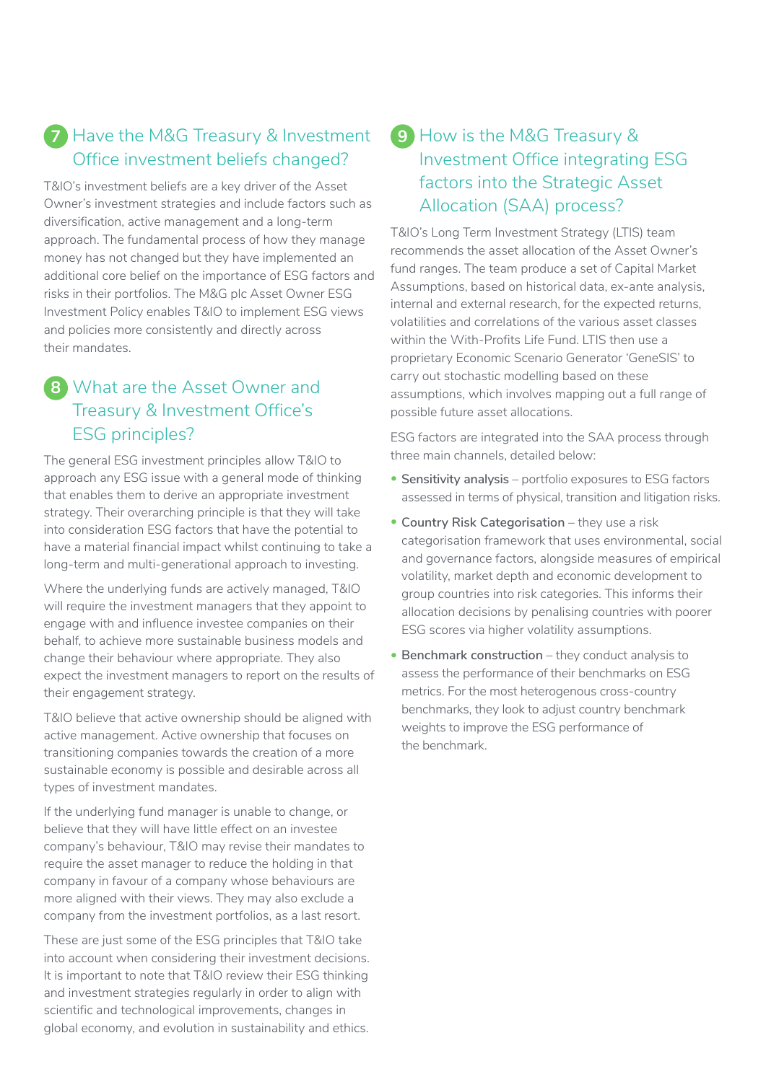# **7** Have the M&G Treasury & Investment Office investment beliefs changed?

T&IO's investment beliefs are a key driver of the Asset Owner's investment strategies and include factors such as diversification, active management and a long-term approach. The fundamental process of how they manage money has not changed but they have implemented an additional core belief on the importance of ESG factors and risks in their portfolios. The M&G plc Asset Owner ESG Investment Policy enables T&IO to implement ESG views and policies more consistently and directly across their mandates.

# **8** What are the Asset Owner and Treasury & Investment Office's ESG principles?

The general ESG investment principles allow T&IO to approach any ESG issue with a general mode of thinking that enables them to derive an appropriate investment strategy. Their overarching principle is that they will take into consideration ESG factors that have the potential to have a material financial impact whilst continuing to take a long-term and multi-generational approach to investing.

Where the underlying funds are actively managed, T&IO will require the investment managers that they appoint to engage with and influence investee companies on their behalf, to achieve more sustainable business models and change their behaviour where appropriate. They also expect the investment managers to report on the results of their engagement strategy.

T&IO believe that active ownership should be aligned with active management. Active ownership that focuses on transitioning companies towards the creation of a more sustainable economy is possible and desirable across all types of investment mandates.

If the underlying fund manager is unable to change, or believe that they will have little effect on an investee company's behaviour, T&IO may revise their mandates to require the asset manager to reduce the holding in that company in favour of a company whose behaviours are more aligned with their views. They may also exclude a company from the investment portfolios, as a last resort.

These are just some of the ESG principles that T&IO take into account when considering their investment decisions. It is important to note that T&IO review their ESG thinking and investment strategies regularly in order to align with scientific and technological improvements, changes in global economy, and evolution in sustainability and ethics.

#### **9** How is the M&G Treasury & Investment Office integrating ESG factors into the Strategic Asset Allocation (SAA) process?

T&IO's Long Term Investment Strategy (LTIS) team recommends the asset allocation of the Asset Owner's fund ranges. The team produce a set of Capital Market Assumptions, based on historical data, ex-ante analysis, internal and external research, for the expected returns, volatilities and correlations of the various asset classes within the With-Profits Life Fund. LTIS then use a proprietary Economic Scenario Generator 'GeneSIS' to carry out stochastic modelling based on these assumptions, which involves mapping out a full range of possible future asset allocations.

ESG factors are integrated into the SAA process through three main channels, detailed below:

- **Sensitivity analysis** portfolio exposures to ESG factors assessed in terms of physical, transition and litigation risks.
- **Country Risk Categorisation** they use a risk categorisation framework that uses environmental, social and governance factors, alongside measures of empirical volatility, market depth and economic development to group countries into risk categories. This informs their allocation decisions by penalising countries with poorer ESG scores via higher volatility assumptions.
- **Benchmark construction** they conduct analysis to assess the performance of their benchmarks on ESG metrics. For the most heterogenous cross-country benchmarks, they look to adjust country benchmark weights to improve the ESG performance of the benchmark.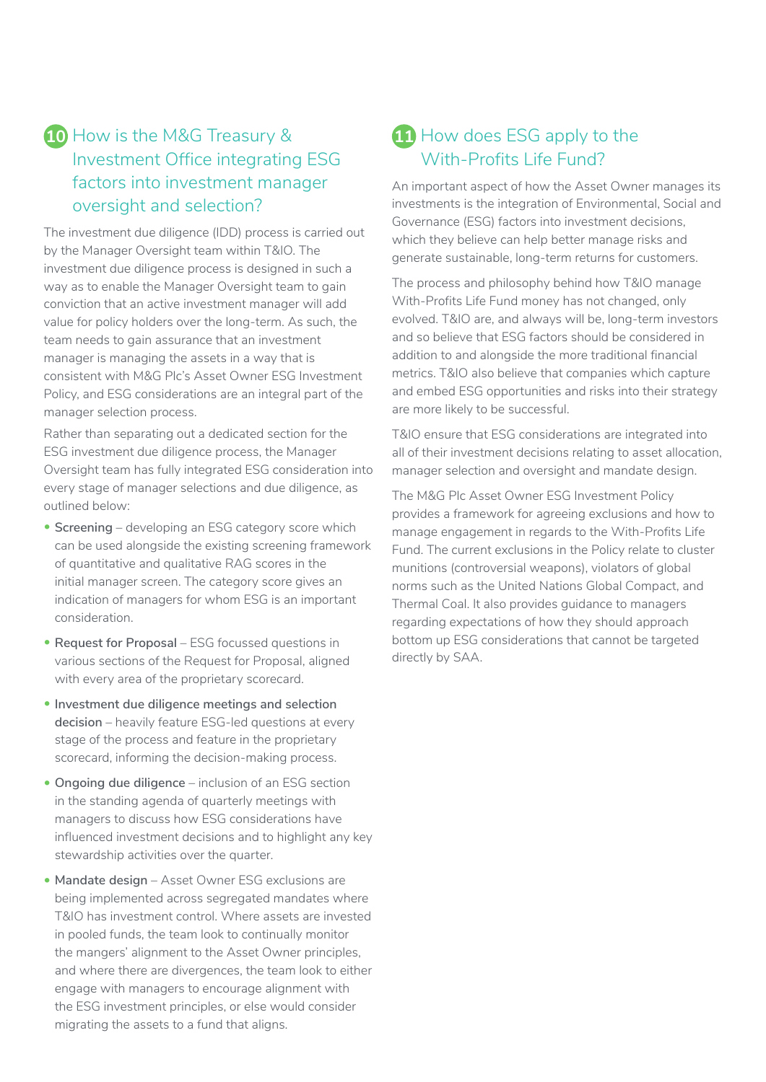## **10** How is the M&G Treasury & Investment Office integrating ESG factors into investment manager oversight and selection?

The investment due diligence (IDD) process is carried out by the Manager Oversight team within T&IO. The investment due diligence process is designed in such a way as to enable the Manager Oversight team to gain conviction that an active investment manager will add value for policy holders over the long-term. As such, the team needs to gain assurance that an investment manager is managing the assets in a way that is consistent with M&G Plc's Asset Owner ESG Investment Policy, and ESG considerations are an integral part of the manager selection process.

Rather than separating out a dedicated section for the ESG investment due diligence process, the Manager Oversight team has fully integrated ESG consideration into every stage of manager selections and due diligence, as outlined below:

- **Screening** developing an ESG category score which can be used alongside the existing screening framework of quantitative and qualitative RAG scores in the initial manager screen. The category score gives an indication of managers for whom ESG is an important consideration.
- **Request for Proposal** ESG focussed questions in various sections of the Request for Proposal, aligned with every area of the proprietary scorecard.
- **Investment due diligence meetings and selection decision** – heavily feature ESG-led questions at every stage of the process and feature in the proprietary scorecard, informing the decision-making process.
- **Ongoing due diligence** inclusion of an ESG section in the standing agenda of quarterly meetings with managers to discuss how ESG considerations have influenced investment decisions and to highlight any key stewardship activities over the quarter.
- **Mandate design** Asset Owner ESG exclusions are being implemented across segregated mandates where T&IO has investment control. Where assets are invested in pooled funds, the team look to continually monitor the mangers' alignment to the Asset Owner principles, and where there are divergences, the team look to either engage with managers to encourage alignment with the ESG investment principles, or else would consider migrating the assets to a fund that aligns.

## **11** How does ESG apply to the With-Profits Life Fund?

An important aspect of how the Asset Owner manages its investments is the integration of Environmental, Social and Governance (ESG) factors into investment decisions, which they believe can help better manage risks and generate sustainable, long-term returns for customers.

The process and philosophy behind how T&IO manage With-Profits Life Fund money has not changed, only evolved. T&IO are, and always will be, long-term investors and so believe that ESG factors should be considered in addition to and alongside the more traditional financial metrics. T&IO also believe that companies which capture and embed ESG opportunities and risks into their strategy are more likely to be successful.

T&IO ensure that ESG considerations are integrated into all of their investment decisions relating to asset allocation, manager selection and oversight and mandate design.

The M&G Plc Asset Owner ESG Investment Policy provides a framework for agreeing exclusions and how to manage engagement in regards to the With-Profits Life Fund. The current exclusions in the Policy relate to cluster munitions (controversial weapons), violators of global norms such as the United Nations Global Compact, and Thermal Coal. It also provides guidance to managers regarding expectations of how they should approach bottom up ESG considerations that cannot be targeted directly by SAA.